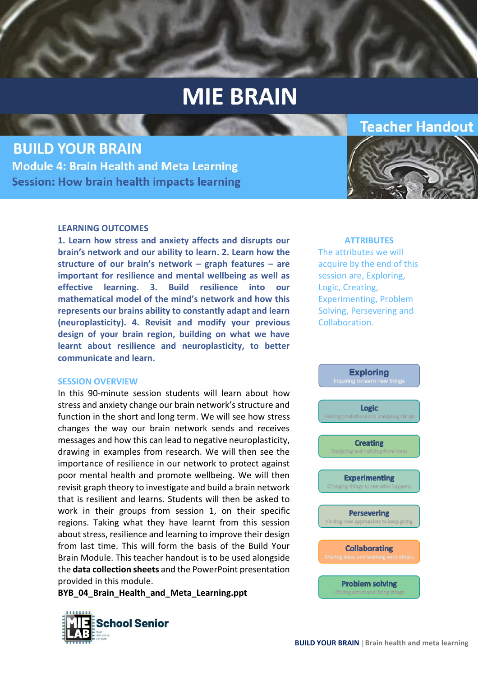**BUILD YOUR BRAIN Module 4: Brain Health and Meta Learning Session: How brain health impacts learning** 

#### **LEARNING OUTCOMES**

**1. Learn how stress and anxiety affects and disrupts our brain's network and our ability to learn. 2. Learn how the structure of our brain's network – graph features – are important for resilience and mental wellbeing as well as effective learning. 3. Build resilience into our mathematical model of the mind's network and how this represents our brains ability to constantly adapt and learn (neuroplasticity). 4. Revisit and modify your previous design of your brain region, building on what we have learnt about resilience and neuroplasticity, to better communicate and learn.**

#### **SESSION OVERVIEW**

In this 90-minute session students will learn about how stress and anxiety change our brain network's structure and function in the short and long term. We will see how stress changes the way our brain network sends and receives messages and how this can lead to negative neuroplasticity, drawing in examples from research. We will then see the importance of resilience in our network to protect against poor mental health and promote wellbeing. We will then revisit graph theory to investigate and build a brain network that is resilient and learns. Students will then be asked to work in their groups from session 1, on their specific regions. Taking what they have learnt from this session about stress, resilience and learning to improve their design from last time. This will form the basis of the Build Your Brain Module. This teacher handout is to be used alongside the **data collection sheets** and the PowerPoint presentation provided in this module.

**BYB\_04\_Brain\_Health\_and\_Meta\_Learning.ppt**



#### **ATTRIBUTES**

**Teacher Handout** 

The attributes we will acquire by the end of this session are, Exploring, Logic, Creating, Experimenting, Problem Solving, Persevering and Collaboration.

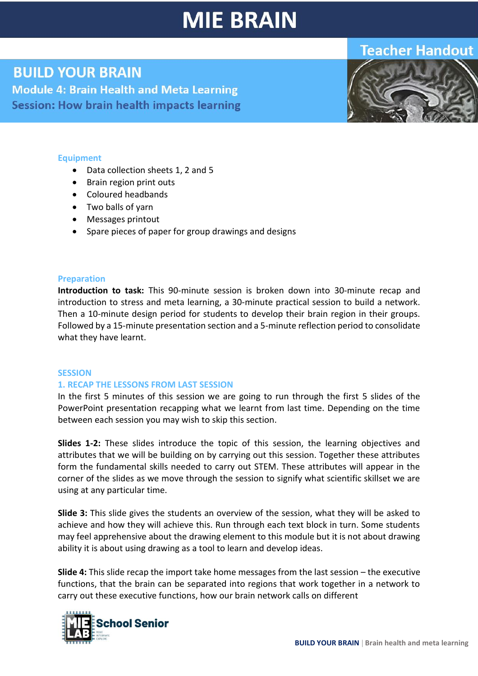## **Teacher Handout**

## **BUILD YOUR BRAIN**

**Module 4: Brain Health and Meta Learning** Session: How brain health impacts learning



### **Equipment**

- Data collection sheets 1, 2 and 5
- Brain region print outs
- Coloured headbands
- Two balls of yarn
- Messages printout
- Spare pieces of paper for group drawings and designs

### **Preparation**

**Introduction to task:** This 90-minute session is broken down into 30-minute recap and introduction to stress and meta learning, a 30-minute practical session to build a network. Then a 10-minute design period for students to develop their brain region in their groups. Followed by a 15-minute presentation section and a 5-minute reflection period to consolidate what they have learnt.

#### **SESSION**

### **1. RECAP THE LESSONS FROM LAST SESSION**

In the first 5 minutes of this session we are going to run through the first 5 slides of the PowerPoint presentation recapping what we learnt from last time. Depending on the time between each session you may wish to skip this section.

**Slides 1-2:** These slides introduce the topic of this session, the learning objectives and attributes that we will be building on by carrying out this session. Together these attributes form the fundamental skills needed to carry out STEM. These attributes will appear in the corner of the slides as we move through the session to signify what scientific skillset we are using at any particular time.

**Slide 3:** This slide gives the students an overview of the session, what they will be asked to achieve and how they will achieve this. Run through each text block in turn. Some students may feel apprehensive about the drawing element to this module but it is not about drawing ability it is about using drawing as a tool to learn and develop ideas.

**Slide 4:** This slide recap the import take home messages from the last session – the executive functions, that the brain can be separated into regions that work together in a network to carry out these executive functions, how our brain network calls on different

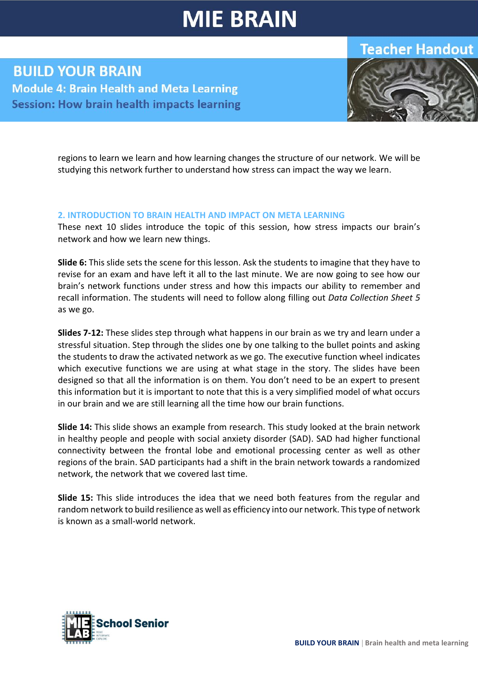## **Teacher Handout**

**BUILD YOUR BRAIN Module 4: Brain Health and Meta Learning Session: How brain health impacts learning** 



regions to learn we learn and how learning changes the structure of our network. We will be studying this network further to understand how stress can impact the way we learn.

### **2. INTRODUCTION TO BRAIN HEALTH AND IMPACT ON META LEARNING**

These next 10 slides introduce the topic of this session, how stress impacts our brain's network and how we learn new things.

**Slide 6:** This slide sets the scene for this lesson. Ask the students to imagine that they have to revise for an exam and have left it all to the last minute. We are now going to see how our brain's network functions under stress and how this impacts our ability to remember and recall information. The students will need to follow along filling out *Data Collection Sheet 5* as we go.

**Slides 7-12:** These slides step through what happens in our brain as we try and learn under a stressful situation. Step through the slides one by one talking to the bullet points and asking the students to draw the activated network as we go. The executive function wheel indicates which executive functions we are using at what stage in the story. The slides have been designed so that all the information is on them. You don't need to be an expert to present this information but it is important to note that this is a very simplified model of what occurs in our brain and we are still learning all the time how our brain functions.

**Slide 14:** This slide shows an example from research. This study looked at the brain network in healthy people and people with social anxiety disorder (SAD). SAD had higher functional connectivity between the frontal lobe and emotional processing center as well as other regions of the brain. SAD participants had a shift in the brain network towards a randomized network, the network that we covered last time.

**Slide 15:** This slide introduces the idea that we need both features from the regular and random network to build resilience as well as efficiency into our network. This type of network is known as a small-world network.

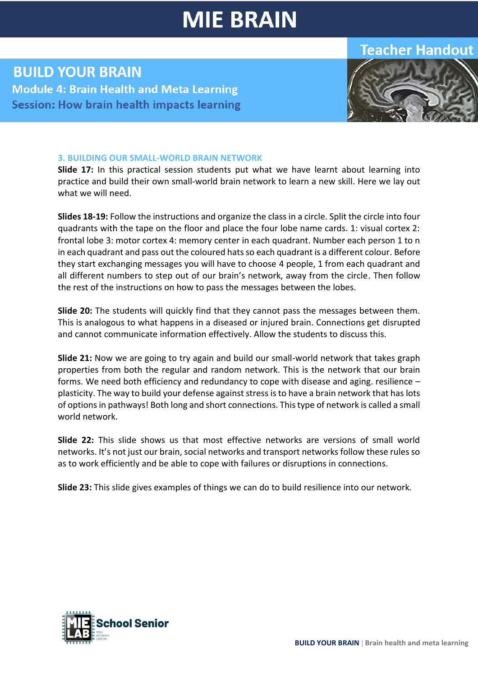## **Teacher Handout**

## **BUILD YOUR BRAIN Module 4: Brain Health and Meta Learning Session: How brain health impacts learning**



### **3. BUILDING OUR SMALL-WORLD BRAIN NETWORK**

**Slide 17:** In this practical session students put what we have learnt about learning into practice and build their own small-world brain network to learn a new skill. Here we lay out what we will need.

**Slides 18-19:** Follow the instructions and organize the class in a circle. Split the circle into four quadrants with the tape on the floor and place the four lobe name cards. 1: visual cortex 2: frontal lobe 3: motor cortex 4: memory center in each quadrant. Number each person 1 to n in each quadrant and pass out the coloured hats so each quadrant is a different colour. Before they start exchanging messages you will have to choose 4 people, 1 from each quadrant and all different numbers to step out of our brain's network, away from the circle. Then follow the rest of the instructions on how to pass the messages between the lobes.

**Slide 20:** The students will quickly find that they cannot pass the messages between them. This is analogous to what happens in a diseased or injured brain. Connections get disrupted and cannot communicate information effectively. Allow the students to discuss this.

**Slide 21:** Now we are going to try again and build our small-world network that takes graph properties from both the regular and random network. This is the network that our brain forms. We need both efficiency and redundancy to cope with disease and aging. resilience – plasticity. The way to build your defense against stress is to have a brain network that has lots of options in pathways! Both long and short connections. This type of network is called a small world network.

**Slide 22:** This slide shows us that most effective networks are versions of small world networks. It's not just our brain, social networks and transport networks follow these rules so as to work efficiently and be able to cope with failures or disruptions in connections.

**Slide 23:** This slide gives examples of things we can do to build resilience into our network.

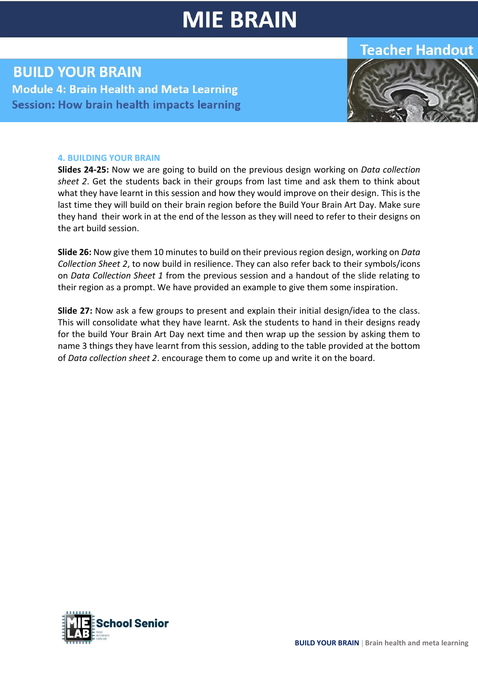## **Teacher Handout**

## **BUILD YOUR BRAIN Module 4: Brain Health and Meta Learning Session: How brain health impacts learning**



#### **4. BUILDING YOUR BRAIN**

**Slides 24-25:** Now we are going to build on the previous design working on *Data collection sheet 2*. Get the students back in their groups from last time and ask them to think about what they have learnt in this session and how they would improve on their design. This is the last time they will build on their brain region before the Build Your Brain Art Day. Make sure they hand their work in at the end of the lesson as they will need to refer to their designs on the art build session.

**Slide 26:** Now give them 10 minutes to build on their previous region design, working on *Data Collection Sheet 2*, to now build in resilience. They can also refer back to their symbols/icons on *Data Collection Sheet 1* from the previous session and a handout of the slide relating to their region as a prompt. We have provided an example to give them some inspiration.

**Slide 27:** Now ask a few groups to present and explain their initial design/idea to the class. This will consolidate what they have learnt. Ask the students to hand in their designs ready for the build Your Brain Art Day next time and then wrap up the session by asking them to name 3 things they have learnt from this session, adding to the table provided at the bottom of *Data collection sheet 2*. encourage them to come up and write it on the board.

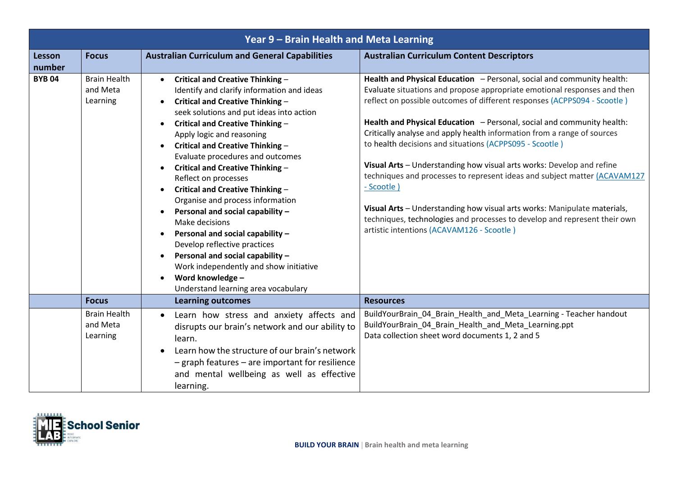| Year 9 - Brain Health and Meta Learning |                                             |                                                                                                                                                                                                                                                                                                                                                                                                                                                                                                                                                                                                                                                                                                                                                                                        |                                                                                                                                                                                                                                                                                                                                                                                                                                                                                                                                                                                                                                                                                                                                                                                                                          |
|-----------------------------------------|---------------------------------------------|----------------------------------------------------------------------------------------------------------------------------------------------------------------------------------------------------------------------------------------------------------------------------------------------------------------------------------------------------------------------------------------------------------------------------------------------------------------------------------------------------------------------------------------------------------------------------------------------------------------------------------------------------------------------------------------------------------------------------------------------------------------------------------------|--------------------------------------------------------------------------------------------------------------------------------------------------------------------------------------------------------------------------------------------------------------------------------------------------------------------------------------------------------------------------------------------------------------------------------------------------------------------------------------------------------------------------------------------------------------------------------------------------------------------------------------------------------------------------------------------------------------------------------------------------------------------------------------------------------------------------|
| <b>Lesson</b><br>number                 | <b>Focus</b>                                | <b>Australian Curriculum and General Capabilities</b>                                                                                                                                                                                                                                                                                                                                                                                                                                                                                                                                                                                                                                                                                                                                  | <b>Australian Curriculum Content Descriptors</b>                                                                                                                                                                                                                                                                                                                                                                                                                                                                                                                                                                                                                                                                                                                                                                         |
| <b>BYB04</b>                            | <b>Brain Health</b><br>and Meta<br>Learning | Critical and Creative Thinking -<br>$\bullet$<br>Identify and clarify information and ideas<br>Critical and Creative Thinking -<br>seek solutions and put ideas into action<br>Critical and Creative Thinking -<br>$\bullet$<br>Apply logic and reasoning<br><b>Critical and Creative Thinking -</b><br>Evaluate procedures and outcomes<br>Critical and Creative Thinking -<br>Reflect on processes<br>Critical and Creative Thinking -<br>Organise and process information<br>Personal and social capability -<br>$\bullet$<br>Make decisions<br>Personal and social capability -<br>$\bullet$<br>Develop reflective practices<br>Personal and social capability -<br>$\bullet$<br>Work independently and show initiative<br>Word knowledge -<br>Understand learning area vocabulary | Health and Physical Education - Personal, social and community health:<br>Evaluate situations and propose appropriate emotional responses and then<br>reflect on possible outcomes of different responses (ACPPS094 - Scootle)<br>Health and Physical Education - Personal, social and community health:<br>Critically analyse and apply health information from a range of sources<br>to health decisions and situations (ACPPS095 - Scootle)<br>Visual Arts - Understanding how visual arts works: Develop and refine<br>techniques and processes to represent ideas and subject matter (ACAVAM127<br>- Scootle)<br>Visual Arts - Understanding how visual arts works: Manipulate materials,<br>techniques, technologies and processes to develop and represent their own<br>artistic intentions (ACAVAM126 - Scootle) |
|                                         | <b>Focus</b>                                | <b>Learning outcomes</b>                                                                                                                                                                                                                                                                                                                                                                                                                                                                                                                                                                                                                                                                                                                                                               | <b>Resources</b>                                                                                                                                                                                                                                                                                                                                                                                                                                                                                                                                                                                                                                                                                                                                                                                                         |
|                                         | <b>Brain Health</b><br>and Meta<br>Learning | Learn how stress and anxiety affects and<br>$\bullet$<br>disrupts our brain's network and our ability to<br>learn.<br>Learn how the structure of our brain's network<br>$-$ graph features $-$ are important for resilience<br>and mental wellbeing as well as effective<br>learning.                                                                                                                                                                                                                                                                                                                                                                                                                                                                                                  | BuildYourBrain_04_Brain_Health_and_Meta_Learning - Teacher handout<br>BuildYourBrain_04_Brain_Health_and_Meta_Learning.ppt<br>Data collection sheet word documents 1, 2 and 5                                                                                                                                                                                                                                                                                                                                                                                                                                                                                                                                                                                                                                            |